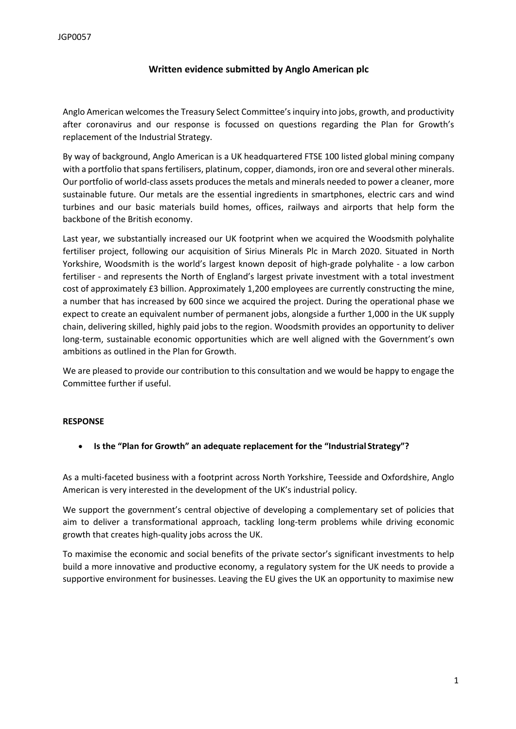## **Written evidence submitted by Anglo American plc**

Anglo American welcomesthe Treasury Select Committee'sinquiry into jobs, growth, and productivity after coronavirus and our response is focussed on questions regarding the Plan for Growth's replacement of the Industrial Strategy.

By way of background, Anglo American is a UK headquartered FTSE 100 listed global mining company with a portfolio that spans fertilisers, platinum, copper, diamonds, iron ore and several other minerals. Our portfolio of world-class assets produces the metals and minerals needed to power a cleaner, more sustainable future. Our metals are the essential ingredients in smartphones, electric cars and wind turbines and our basic materials build homes, offices, railways and airports that help form the backbone of the British economy.

Last year, we substantially increased our UK footprint when we acquired the Woodsmith polyhalite fertiliser project, following our acquisition of Sirius Minerals Plc in March 2020. Situated in North Yorkshire, Woodsmith is the world's largest known deposit of high-grade polyhalite - a low carbon fertiliser - and represents the North of England's largest private investment with a total investment cost of approximately £3 billion. Approximately 1,200 employees are currently constructing the mine, a number that has increased by 600 since we acquired the project. During the operational phase we expect to create an equivalent number of permanent jobs, alongside a further 1,000 in the UK supply chain, delivering skilled, highly paid jobs to the region. Woodsmith provides an opportunity to deliver long-term, sustainable economic opportunities which are well aligned with the Government's own ambitions as outlined in the Plan for Growth.

We are pleased to provide our contribution to this consultation and we would be happy to engage the Committee further if useful.

## **RESPONSE**

**Is the "Plan for Growth" an adequate replacement for the "Industrial Strategy"?**

As a multi-faceted business with a footprint across North Yorkshire, Teesside and Oxfordshire, Anglo American is very interested in the development of the UK's industrial policy.

We support the government's central objective of developing a complementary set of policies that aim to deliver a transformational approach, tackling long-term problems while driving economic growth that creates high-quality jobs across the UK.

To maximise the economic and social benefits of the private sector's significant investments to help build a more innovative and productive economy, a regulatory system for the UK needs to provide a supportive environment for businesses. Leaving the EU gives the UK an opportunity to maximise new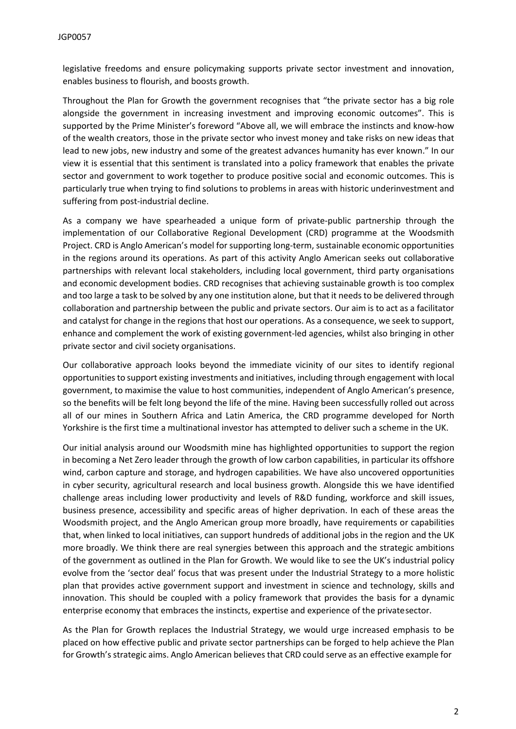legislative freedoms and ensure policymaking supports private sector investment and innovation, enables business to flourish, and boosts growth.

Throughout the Plan for Growth the government recognises that "the private sector has a big role alongside the government in increasing investment and improving economic outcomes". This is supported by the Prime Minister's foreword "Above all, we will embrace the instincts and know-how of the wealth creators, those in the private sector who invest money and take risks on new ideas that lead to new jobs, new industry and some of the greatest advances humanity has ever known." In our view it is essential that this sentiment is translated into a policy framework that enables the private sector and government to work together to produce positive social and economic outcomes. This is particularly true when trying to find solutions to problems in areas with historic underinvestment and suffering from post-industrial decline.

As a company we have spearheaded a unique form of private-public partnership through the implementation of our Collaborative Regional Development (CRD) programme at the Woodsmith Project. CRD is Anglo American's model for supporting long-term, sustainable economic opportunities in the regions around its operations. As part of this activity Anglo American seeks out collaborative partnerships with relevant local stakeholders, including local government, third party organisations and economic development bodies. CRD recognises that achieving sustainable growth is too complex and too large a task to be solved by any one institution alone, but that it needs to be delivered through collaboration and partnership between the public and private sectors. Our aim is to act as a facilitator and catalyst for change in the regions that host our operations. As a consequence, we seek to support, enhance and complement the work of existing government-led agencies, whilst also bringing in other private sector and civil society organisations.

Our collaborative approach looks beyond the immediate vicinity of our sites to identify regional opportunitiesto support existing investments and initiatives, including through engagement with local government, to maximise the value to host communities, independent of Anglo American's presence, so the benefits will be felt long beyond the life of the mine. Having been successfully rolled out across all of our mines in Southern Africa and Latin America, the CRD programme developed for North Yorkshire is the first time a multinational investor has attempted to deliver such a scheme in the UK.

Our initial analysis around our Woodsmith mine has highlighted opportunities to support the region in becoming a Net Zero leader through the growth of low carbon capabilities, in particular its offshore wind, carbon capture and storage, and hydrogen capabilities. We have also uncovered opportunities in cyber security, agricultural research and local business growth. Alongside this we have identified challenge areas including lower productivity and levels of R&D funding, workforce and skill issues, business presence, accessibility and specific areas of higher deprivation. In each of these areas the Woodsmith project, and the Anglo American group more broadly, have requirements or capabilities that, when linked to local initiatives, can support hundreds of additional jobs in the region and the UK more broadly. We think there are real synergies between this approach and the strategic ambitions of the government as outlined in the Plan for Growth. We would like to see the UK's industrial policy evolve from the 'sector deal' focus that was present under the Industrial Strategy to a more holistic plan that provides active government support and investment in science and technology, skills and innovation. This should be coupled with a policy framework that provides the basis for a dynamic enterprise economy that embraces the instincts, expertise and experience of the privatesector.

As the Plan for Growth replaces the Industrial Strategy, we would urge increased emphasis to be placed on how effective public and private sector partnerships can be forged to help achieve the Plan for Growth's strategic aims. Anglo American believes that CRD could serve as an effective example for